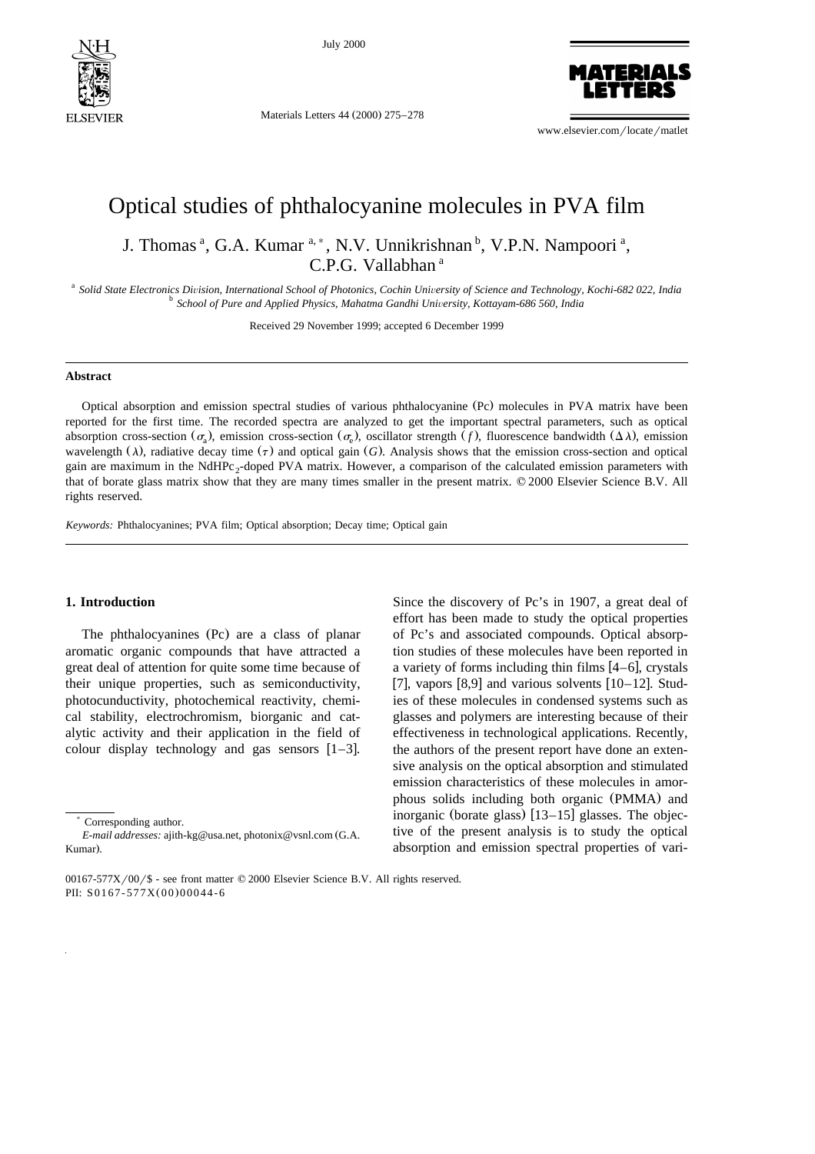

July 2000

Materials Letters 44 (2000) 275-278

www.elsevier.com/locate/matlet

**ATERIALS** 

# Optical studies of phthalocyanine molecules in PVA film

J. Thomas<sup>a</sup>, G.A. Kumar<sup>a,\*</sup>, N.V. Unnikrishnan <sup>b</sup>, V.P.N. Nampoori<sup>a</sup>, C.P.G. Vallabhan <sup>a</sup>

<sup>a</sup> Solid State Electronics Division, International School of Photonics, Cochin University of Science and Technology, Kochi-682 022, India<br><sup>b</sup> School of Pure and Applied Physics, Mahatma Gandhi University, Kottayam-686 560

Received 29 November 1999; accepted 6 December 1999

#### **Abstract**

Optical absorption and emission spectral studies of various phthalocyanine (Pc) molecules in PVA matrix have been reported for the first time. The recorded spectra are analyzed to get the important spectral parameters, such as optical absorption cross-section  $(\sigma_n)$ , emission cross-section  $(\sigma_n)$ , oscillator strength *f*), fluorescence bandwidth  $(\Delta \lambda)$ , emission wavelength  $(\lambda)$ , radiative decay time  $(\tau)$  and optical gain  $(G)$ . Analysis shows that the emission cross-section and optical gain are maximum in the NdHPc<sub>2</sub>-doped PVA matrix. However, a comparison of the calculated emission parameters with that of borate glass matrix show that they are many times smaller in the present matrix. © 2000 Elsevier Science B.V. All rights reserved.

*Keywords:* Phthalocyanines; PVA film; Optical absorption; Decay time; Optical gain

#### **1. Introduction**

The phthalocyanines (Pc) are a class of planar aromatic organic compounds that have attracted a great deal of attention for quite some time because of their unique properties, such as semiconductivity, photocunductivity, photochemical reactivity, chemical stability, electrochromism, biorganic and catalytic activity and their application in the field of colour display technology and gas sensors  $[1-3]$ .

Since the discovery of Pc's in 1907, a great deal of effort has been made to study the optical properties of Pc's and associated compounds. Optical absorption studies of these molecules have been reported in a variety of forms including thin films  $[4-6]$ , crystals [7], vapors  $[8,9]$  and various solvents  $[10–12]$ . Studies of these molecules in condensed systems such as glasses and polymers are interesting because of their effectiveness in technological applications. Recently, the authors of the present report have done an extensive analysis on the optical absorption and stimulated emission characteristics of these molecules in amorphous solids including both organic (PMMA) and inorganic (borate glass)  $[13–15]$  glasses. The objective of the present analysis is to study the optical absorption and emission spectral properties of vari-

<sup>)</sup> Corresponding author.

*E-mail addresses:* ajith-kg@usa.net, photonix@vsnl.com G.A. Ž Kumar).

 $00167-577X/00$ /\$ - see front matter  $© 2000$  Elsevier Science B.V. All rights reserved. PII: S0167-577X(00)00044-6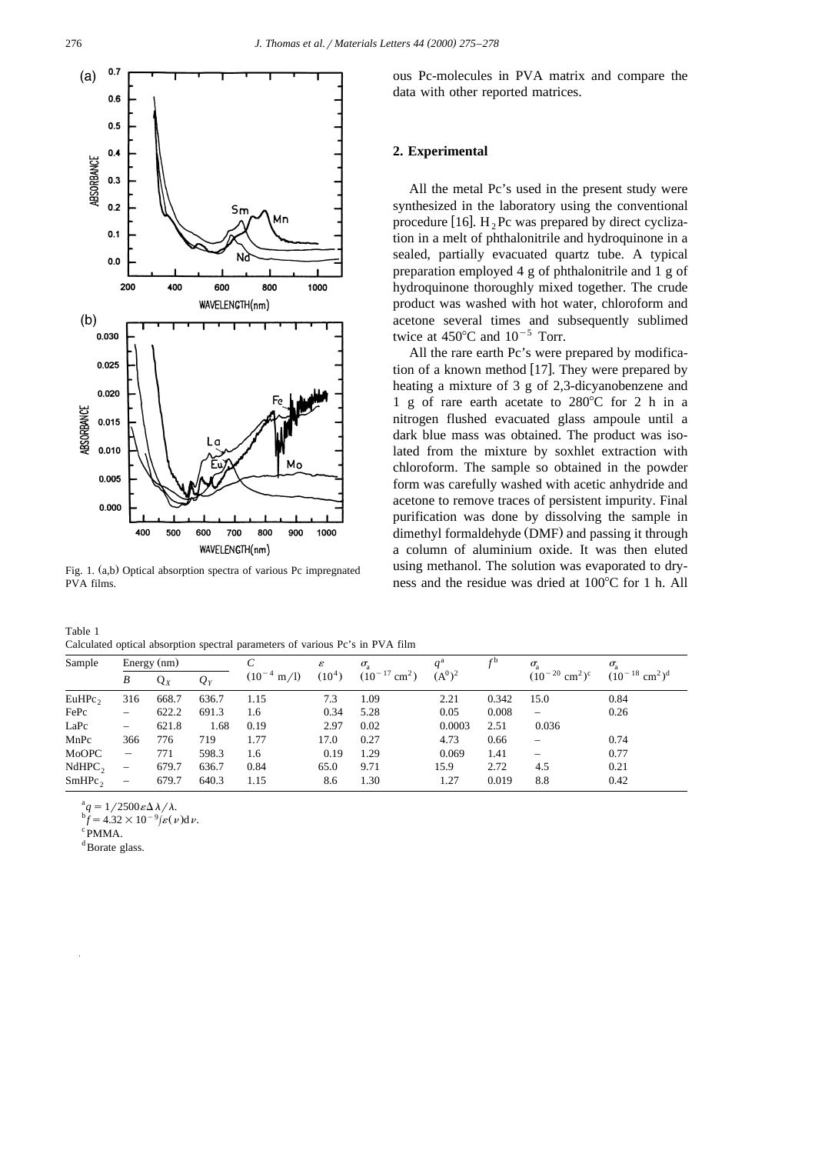

Fig. 1. (a,b) Optical absorption spectra of various Pc impregnated PVA films.

| Table 1                                                                       |  |  |  |  |  |
|-------------------------------------------------------------------------------|--|--|--|--|--|
| Calculated optical absorption spectral parameters of various Pc's in PVA film |  |  |  |  |  |

| Sample             |                          | Energy (nm) |       | $(10^{-4} \text{ m}/1)$ | ε<br>(10 <sup>4</sup> ) | $\sigma_{\rm a}$<br>$(10^{-17}$ cm <sup>2</sup> ) | $(A^0)^2$ |       | $\sigma_{\rm a}$<br>$(10^{-20}$ cm <sup>2</sup> ) <sup>c</sup> | $\sigma_{\rm a}$<br>$(10^{-18}$ cm <sup>2</sup> ) <sup>d</sup> |
|--------------------|--------------------------|-------------|-------|-------------------------|-------------------------|---------------------------------------------------|-----------|-------|----------------------------------------------------------------|----------------------------------------------------------------|
|                    | B                        | $Q_X$       | $Q_Y$ |                         |                         |                                                   |           |       |                                                                |                                                                |
| EuHPC <sub>2</sub> | 316                      | 668.7       | 636.7 | 1.15                    | 7.3                     | 1.09                                              | 2.21      | 0.342 | 15.0                                                           | 0.84                                                           |
| FePc               |                          | 622.2       | 691.3 | 1.6                     | 0.34                    | 5.28                                              | 0.05      | 0.008 |                                                                | 0.26                                                           |
| LaPc               | $\overline{\phantom{0}}$ | 621.8       | 1.68  | 0.19                    | 2.97                    | 0.02                                              | 0.0003    | 2.51  | 0.036                                                          |                                                                |
| MnPc               | 366                      | 776         | 719   | 1.77                    | 17.0                    | 0.27                                              | 4.73      | 0.66  | $\overline{\phantom{0}}$                                       | 0.74                                                           |
| MoOPC              | $\qquad \qquad$          | 771         | 598.3 | 1.6                     | 0.19                    | 1.29                                              | 0.069     | 1.41  | $\qquad \qquad$                                                | 0.77                                                           |
| NdHPC <sub>2</sub> | $\overline{\phantom{m}}$ | 679.7       | 636.7 | 0.84                    | 65.0                    | 9.71                                              | 15.9      | 2.72  | 4.5                                                            | 0.21                                                           |
| SmHPc <sub>2</sub> | $\qquad \qquad -$        | 679.7       | 640.3 | 1.15                    | 8.6                     | 1.30                                              | 1.27      | 0.019 | 8.8                                                            | 0.42                                                           |
|                    |                          |             |       |                         |                         |                                                   |           |       |                                                                |                                                                |

 $a_q = 1/2500 \varepsilon \Delta \lambda / \lambda$ .

 $\oint_{0}^{b} f = 4.32 \times 10^{-9} \left[ \varepsilon(\nu) \right] dv.$ 

 $\rm ^{c}$  PMMA.

<sup>d</sup>Borate glass.

ous Pc-molecules in PVA matrix and compare the data with other reported matrices.

## **2. Experimental**

All the metal Pc's used in the present study were synthesized in the laboratory using the conventional procedure [16].  $H_2$  Pc was prepared by direct cyclization in a melt of phthalonitrile and hydroquinone in a sealed, partially evacuated quartz tube. A typical preparation employed 4 g of phthalonitrile and 1 g of hydroquinone thoroughly mixed together. The crude product was washed with hot water, chloroform and acetone several times and subsequently sublimed twice at  $450^{\circ}$ C and  $10^{-5}$  Torr.

All the rare earth Pc's were prepared by modification of a known method  $[17]$ . They were prepared by heating a mixture of 3 g of 2,3-dicyanobenzene and 1 g of rare earth acetate to  $280^{\circ}$ C for 2 h in a nitrogen flushed evacuated glass ampoule until a dark blue mass was obtained. The product was isolated from the mixture by soxhlet extraction with chloroform. The sample so obtained in the powder form was carefully washed with acetic anhydride and acetone to remove traces of persistent impurity. Final purification was done by dissolving the sample in dimethyl formaldehyde (DMF) and passing it through a column of aluminium oxide. It was then eluted using methanol. The solution was evaporated to dryness and the residue was dried at  $100^{\circ}$ C for 1 h. All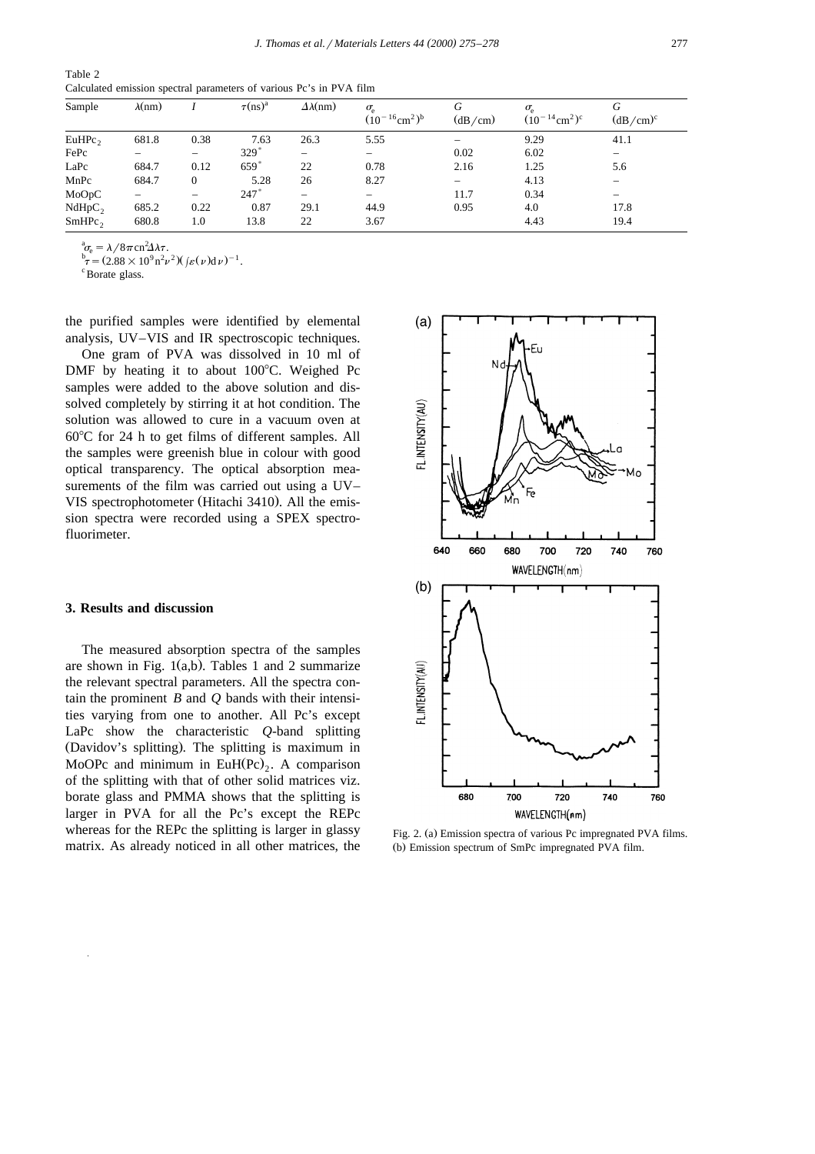Table 2 Calculated emission spectral parameters of various Pc's in PVA film

| Sample             | $\lambda$ (nm) |      | $\tau(ns)^a$ | $\Delta\lambda$ (nm) | $\sigma_{\rm e}$<br>$(10^{-16}$ cm <sup>2</sup> ) <sup>b</sup> | G<br>(dB/cm) | $\sigma_{\rm e}$<br>$(10^{-14}$ cm <sup>2</sup> ) <sup>c</sup> | G<br>$(dB/cm)^c$ |
|--------------------|----------------|------|--------------|----------------------|----------------------------------------------------------------|--------------|----------------------------------------------------------------|------------------|
| EuHPC <sub>2</sub> | 681.8          | 0.38 | 7.63         | 26.3                 | 5.55                                                           |              | 9.29                                                           | 41.1             |
| FePc               |                |      | $329*$       |                      | —                                                              | 0.02         | 6.02                                                           |                  |
| LaPc               | 684.7          | 0.12 | 659          | 22                   | 0.78                                                           | 2.16         | 1.25                                                           | 5.6              |
| MnPc               | 684.7          | 0    | 5.28         | 26                   | 8.27                                                           |              | 4.13                                                           |                  |
| MoOpC              |                |      | 247          |                      | $\overline{\phantom{0}}$                                       | 11.7         | 0.34                                                           |                  |
| NdHpC <sub>2</sub> | 685.2          | 0.22 | 0.87         | 29.1                 | 44.9                                                           | 0.95         | 4.0                                                            | 17.8             |
| $SmHPc_2$          | 680.8          | 1.0  | 13.8         | 22                   | 3.67                                                           |              | 4.43                                                           | 19.4             |

 $\sigma_{\rm e} = \lambda/8\pi \text{cn}^2$ 

 $b_T^b = (2.88 \times 10^9 \text{ n}^2 \nu^2) (f_{\mathcal{E}}(\nu) \text{d} \nu)^{-1}$ .

Borate glass.

the purified samples were identified by elemental analysis, UV–VIS and IR spectroscopic techniques.

One gram of PVA was dissolved in 10 ml of DMF by heating it to about  $100^{\circ}$ C. Weighed Pc samples were added to the above solution and dissolved completely by stirring it at hot condition. The solution was allowed to cure in a vacuum oven at  $60^{\circ}$ C for 24 h to get films of different samples. All the samples were greenish blue in colour with good optical transparency. The optical absorption measurements of the film was carried out using a UV– VIS spectrophotometer (Hitachi 3410). All the emission spectra were recorded using a SPEX spectrofluorimeter.

## **3. Results and discussion**

The measured absorption spectra of the samples are shown in Fig.  $1(a,b)$ . Tables 1 and 2 summarize the relevant spectral parameters. All the spectra contain the prominent *B* and *Q* bands with their intensities varying from one to another. All Pc's except LaPc show the characteristic *Q*-band splitting (Davidov's splitting). The splitting is maximum in MoOPc and minimum in EuH(Pc)<sub>2</sub>. A comparison of the splitting with that of other solid matrices viz. borate glass and PMMA shows that the splitting is larger in PVA for all the Pc's except the REPc whereas for the REPc the splitting is larger in glassy matrix. As already noticed in all other matrices, the



Fig. 2. (a) Emission spectra of various Pc impregnated PVA films. (b) Emission spectrum of SmPc impregnated PVA film.